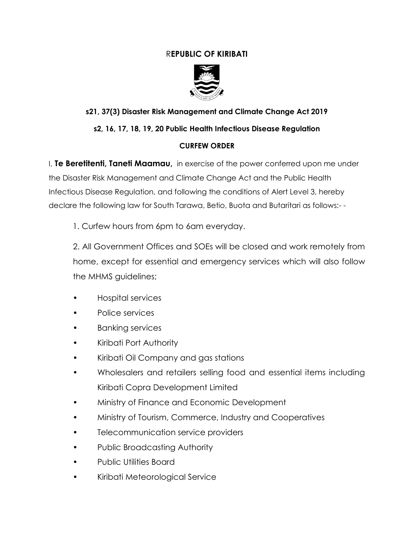# R**EPUBLIC OF KIRIBATI**



# **s21, 37(3) Disaster Risk Management and Climate Change Act 2019**

# **s2, 16, 17, 18, 19, 20 Public Health Infectious Disease Regulation**

#### **CURFEW ORDER**

I, **Te Beretitenti, Taneti Maamau,** in exercise of the power conferred upon me under the Disaster Risk Management and Climate Change Act and the Public Health Infectious Disease Regulation, and following the conditions of Alert Level 3, hereby declare the following law for South Tarawa, Betio, Buota and Butaritari as follows:- -

1. Curfew hours from 6pm to 6am everyday.

2. All Government Offices and SOEs will be closed and work remotely from home, except for essential and emergency services which will also follow the MHMS guidelines;

- Hospital services
- Police services
- Banking services
- Kiribati Port Authority
- Kiribati Oil Company and gas stations
- Wholesalers and retailers selling food and essential items including Kiribati Copra Development Limited
- Ministry of Finance and Economic Development
- Ministry of Tourism, Commerce, Industry and Cooperatives
- Telecommunication service providers
- Public Broadcasting Authority
- Public Utilities Board
- Kiribati Meteorological Service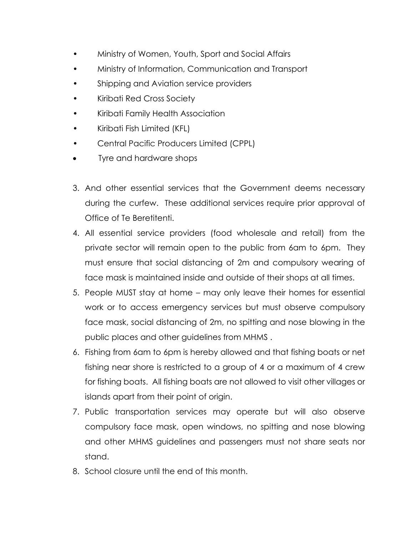- Ministry of Women, Youth, Sport and Social Affairs
- Ministry of Information, Communication and Transport
- Shipping and Aviation service providers
- Kiribati Red Cross Society
- Kiribati Family Health Association
- Kiribati Fish Limited (KFL)
- Central Pacific Producers Limited (CPPL)
- Tyre and hardware shops
- 3. And other essential services that the Government deems necessary during the curfew. These additional services require prior approval of Office of Te Beretitenti.
- 4. All essential service providers (food wholesale and retail) from the private sector will remain open to the public from 6am to 6pm. They must ensure that social distancing of 2m and compulsory wearing of face mask is maintained inside and outside of their shops at all times.
- 5. People MUST stay at home may only leave their homes for essential work or to access emergency services but must observe compulsory face mask, social distancing of 2m, no spitting and nose blowing in the public places and other guidelines from MHMS .
- 6. Fishing from 6am to 6pm is hereby allowed and that fishing boats or net fishing near shore is restricted to a group of 4 or a maximum of 4 crew for fishing boats. All fishing boats are not allowed to visit other villages or islands apart from their point of origin.
- 7. Public transportation services may operate but will also observe compulsory face mask, open windows, no spitting and nose blowing and other MHMS guidelines and passengers must not share seats nor stand.
- 8. School closure until the end of this month.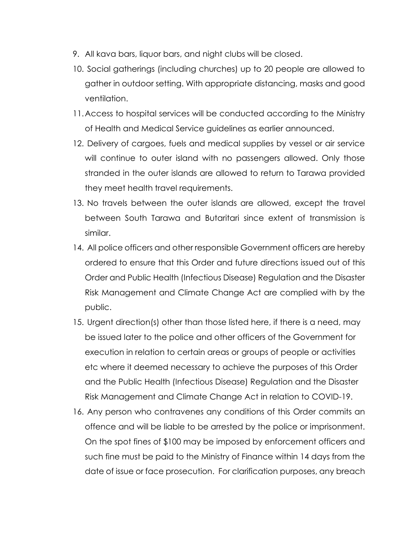- 9. All kava bars, liquor bars, and night clubs will be closed.
- 10. Social gatherings (including churches) up to 20 people are allowed to gather in outdoor setting. With appropriate distancing, masks and good ventilation.
- 11.Access to hospital services will be conducted according to the Ministry of Health and Medical Service guidelines as earlier announced.
- 12. Delivery of cargoes, fuels and medical supplies by vessel or air service will continue to outer island with no passengers allowed. Only those stranded in the outer islands are allowed to return to Tarawa provided they meet health travel requirements.
- 13. No travels between the outer islands are allowed, except the travel between South Tarawa and Butaritari since extent of transmission is similar.
- 14. All police officers and other responsible Government officers are hereby ordered to ensure that this Order and future directions issued out of this Order and Public Health (Infectious Disease) Regulation and the Disaster Risk Management and Climate Change Act are complied with by the public.
- 15. Urgent direction(s) other than those listed here, if there is a need, may be issued later to the police and other officers of the Government for execution in relation to certain areas or groups of people or activities etc where it deemed necessary to achieve the purposes of this Order and the Public Health (Infectious Disease) Regulation and the Disaster Risk Management and Climate Change Act in relation to COVID-19.
- 16. Any person who contravenes any conditions of this Order commits an offence and will be liable to be arrested by the police or imprisonment. On the spot fines of \$100 may be imposed by enforcement officers and such fine must be paid to the Ministry of Finance within 14 days from the date of issue or face prosecution. For clarification purposes, any breach